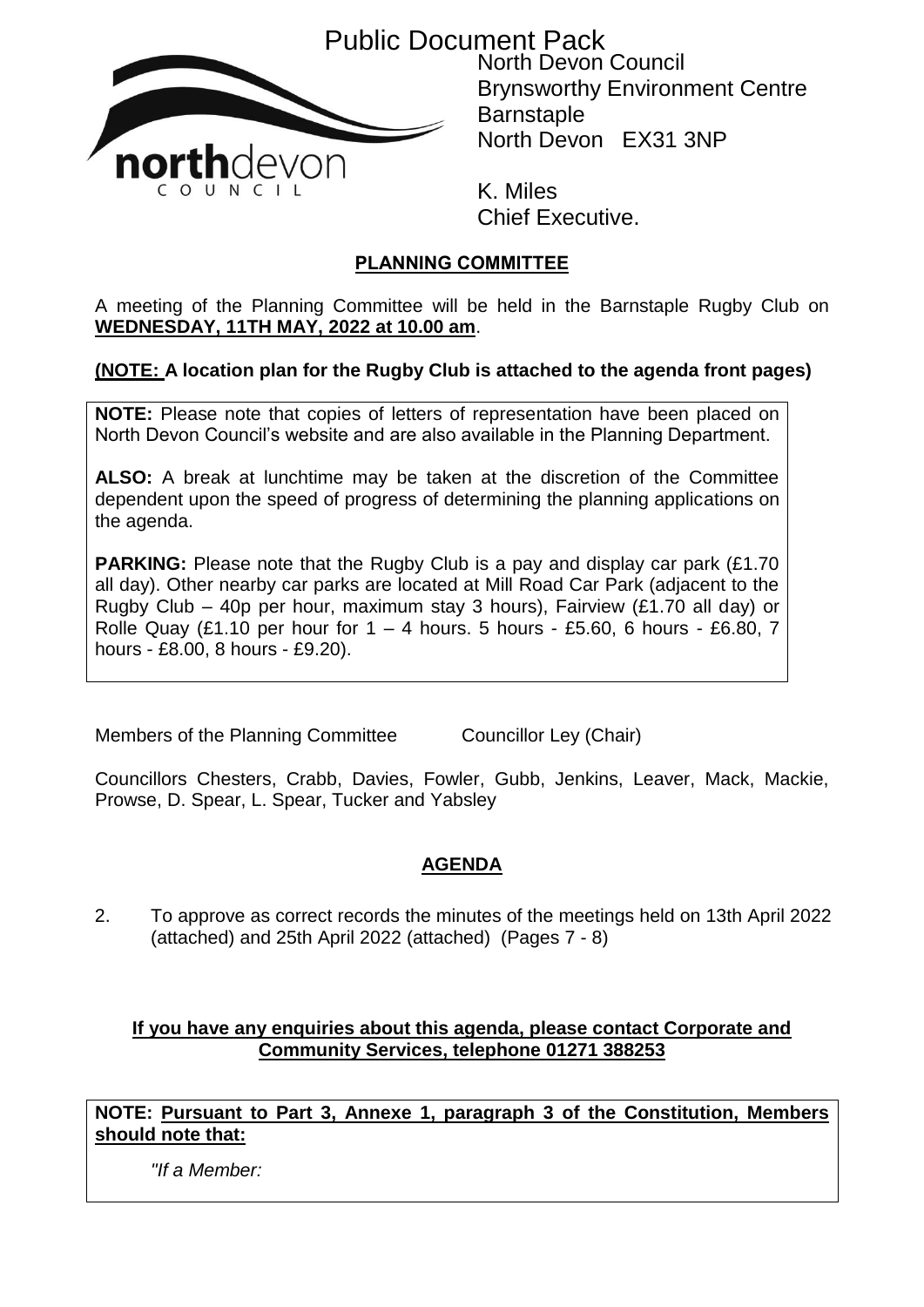Public Document Pack



North Devon Council Brynsworthy Environment Centre **Barnstaple** North Devon EX31 3NP

K. Miles Chief Executive.

# **PLANNING COMMITTEE**

A meeting of the Planning Committee will be held in the Barnstaple Rugby Club on **WEDNESDAY, 11TH MAY, 2022 at 10.00 am**.

## **(NOTE: A location plan for the Rugby Club is attached to the agenda front pages)**

**NOTE:** Please note that copies of letters of representation have been placed on North Devon Council's website and are also available in the Planning Department.

**ALSO:** A break at lunchtime may be taken at the discretion of the Committee dependent upon the speed of progress of determining the planning applications on the agenda.

**PARKING:** Please note that the Rugby Club is a pay and display car park (£1.70) all day). Other nearby car parks are located at Mill Road Car Park (adjacent to the Rugby Club – 40p per hour, maximum stay 3 hours), Fairview (£1.70 all day) or Rolle Quay (£1.10 per hour for  $1 - 4$  hours. 5 hours - £5.60, 6 hours - £6.80, 7 hours - £8.00, 8 hours - £9.20).

Members of the Planning Committee Councillor Ley (Chair)

Councillors Chesters, Crabb, Davies, Fowler, Gubb, Jenkins, Leaver, Mack, Mackie, Prowse, D. Spear, L. Spear, Tucker and Yabsley

## **AGENDA**

2. To approve as correct records the minutes of the meetings held on 13th April 2022 (attached) and 25th April 2022 (attached) (Pages 7 - 8)

## **If you have any enquiries about this agenda, please contact Corporate and Community Services, telephone 01271 388253**

**NOTE: Pursuant to Part 3, Annexe 1, paragraph 3 of the Constitution, Members should note that:**

*"If a Member:*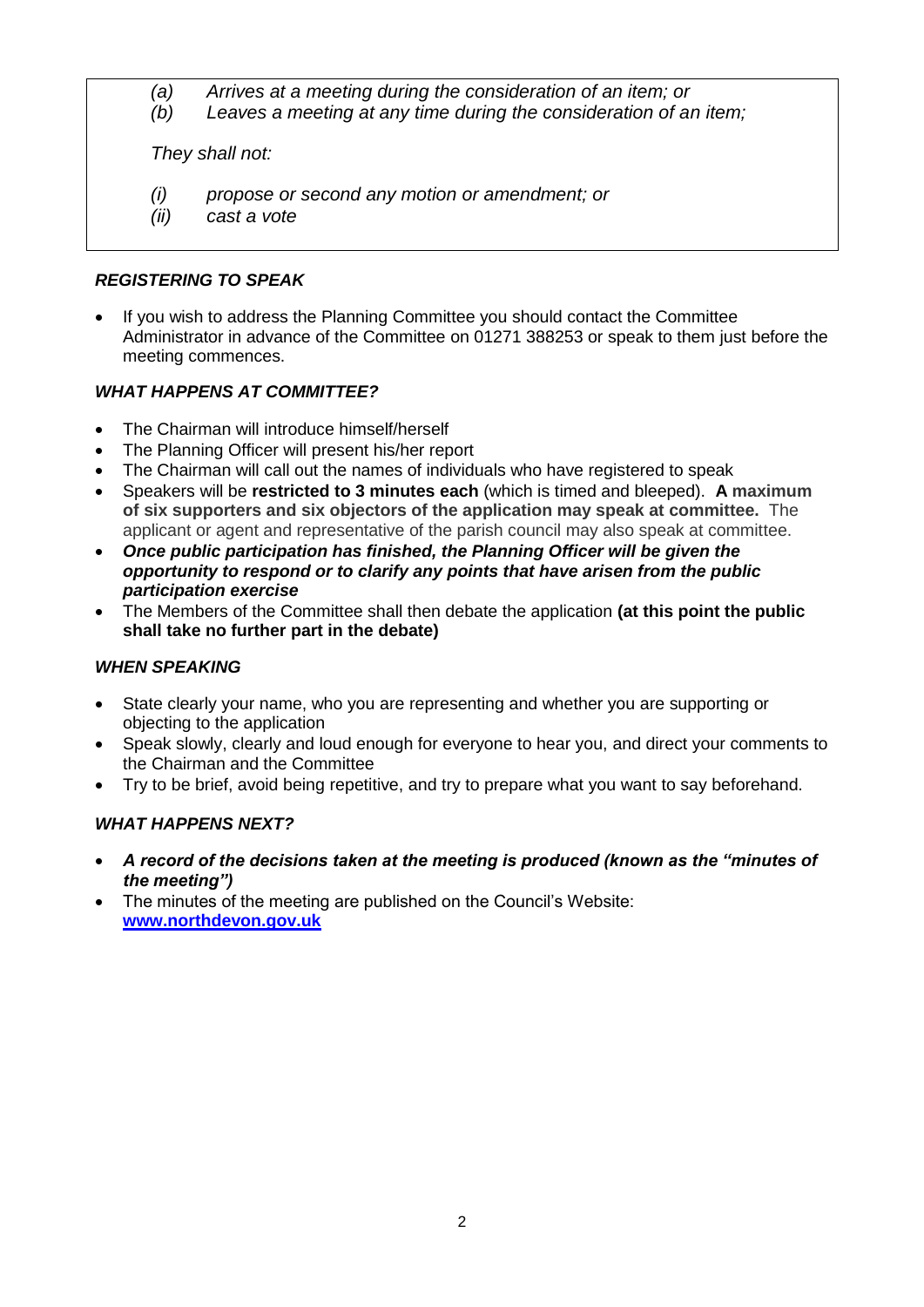- *(a) Arrives at a meeting during the consideration of an item; or*
- *(b) Leaves a meeting at any time during the consideration of an item;*

*They shall not:*

- *(i) propose or second any motion or amendment; or*
- *(ii) cast a vote*

## *REGISTERING TO SPEAK*

 If you wish to address the Planning Committee you should contact the Committee Administrator in advance of the Committee on 01271 388253 or speak to them just before the meeting commences.

## *WHAT HAPPENS AT COMMITTEE?*

- The Chairman will introduce himself/herself
- The Planning Officer will present his/her report
- The Chairman will call out the names of individuals who have registered to speak
- Speakers will be **restricted to 3 minutes each** (which is timed and bleeped). **A maximum of six supporters and six objectors of the application may speak at committee.** The applicant or agent and representative of the parish council may also speak at committee.
- *Once public participation has finished, the Planning Officer will be given the opportunity to respond or to clarify any points that have arisen from the public participation exercise*
- The Members of the Committee shall then debate the application **(at this point the public shall take no further part in the debate)**

## *WHEN SPEAKING*

- State clearly your name, who you are representing and whether you are supporting or objecting to the application
- Speak slowly, clearly and loud enough for everyone to hear you, and direct your comments to the Chairman and the Committee
- Try to be brief, avoid being repetitive, and try to prepare what you want to say beforehand.

## *WHAT HAPPENS NEXT?*

- *A record of the decisions taken at the meeting is produced (known as the "minutes of the meeting")*
- The minutes of the meeting are published on the Council's Website: **[www.northdevon.gov.uk](http://www.northdevon.gov.uk/)**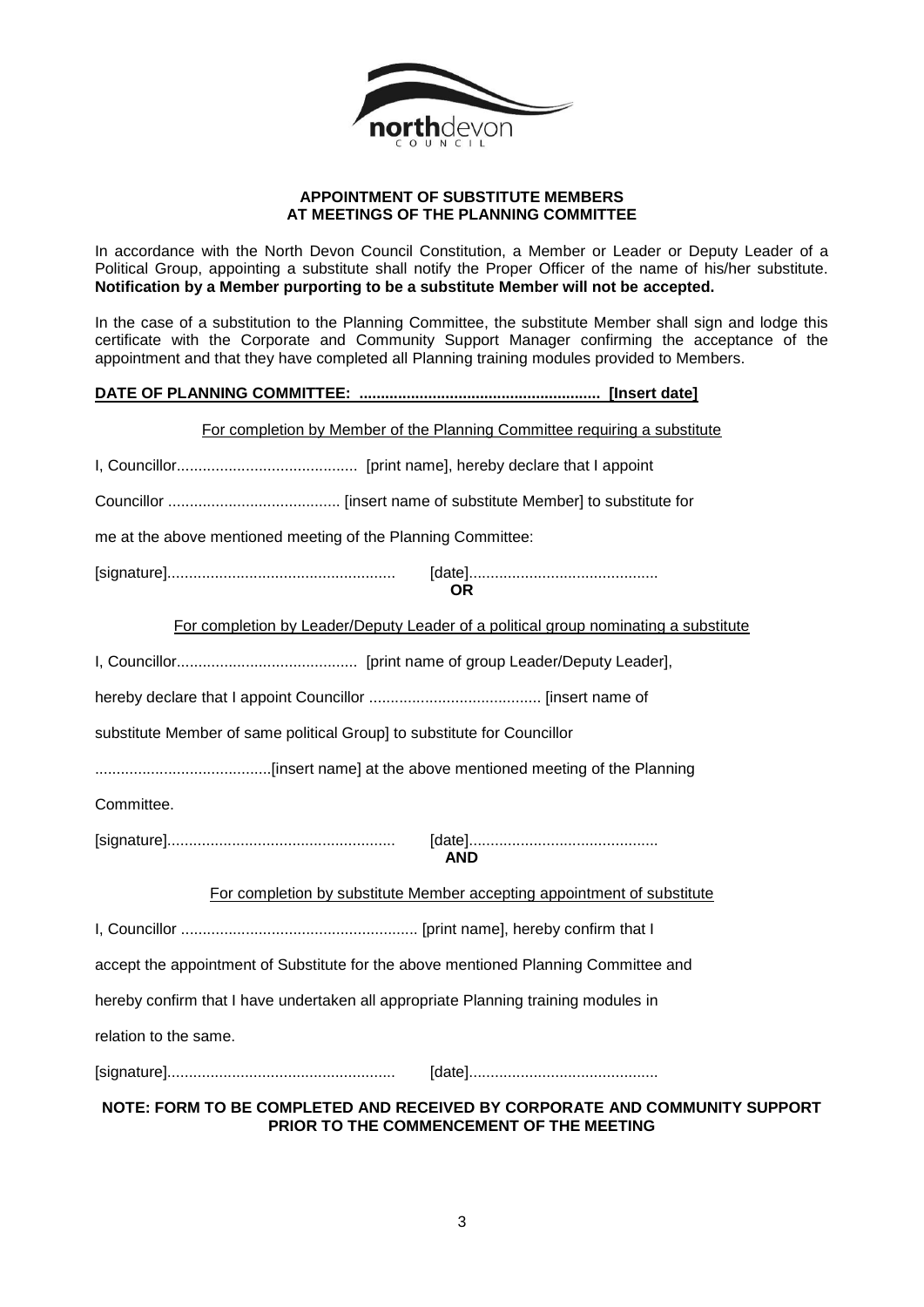

#### **APPOINTMENT OF SUBSTITUTE MEMBERS AT MEETINGS OF THE PLANNING COMMITTEE**

In accordance with the North Devon Council Constitution, a Member or Leader or Deputy Leader of a Political Group, appointing a substitute shall notify the Proper Officer of the name of his/her substitute. **Notification by a Member purporting to be a substitute Member will not be accepted.**

In the case of a substitution to the Planning Committee, the substitute Member shall sign and lodge this certificate with the Corporate and Community Support Manager confirming the acceptance of the appointment and that they have completed all Planning training modules provided to Members.

### **DATE OF PLANNING COMMITTEE: ........................................................ [Insert date]**

| For completion by Member of the Planning Committee requiring a substitute           |
|-------------------------------------------------------------------------------------|
|                                                                                     |
|                                                                                     |
| me at the above mentioned meeting of the Planning Committee:                        |
| OR.                                                                                 |
| For completion by Leader/Deputy Leader of a political group nominating a substitute |
|                                                                                     |
|                                                                                     |
| substitute Member of same political Group] to substitute for Councillor             |
|                                                                                     |
| Committee.                                                                          |
| <b>AND</b>                                                                          |
| For completion by substitute Member accepting appointment of substitute             |
|                                                                                     |
| accept the appointment of Substitute for the above mentioned Planning Committee and |
| hereby confirm that I have undertaken all appropriate Planning training modules in  |
| relation to the same.                                                               |
|                                                                                     |
| NOTE: FORM TO BE COMPLETED AND RECEIVED BY CORPORATE AND COMMUNITY SUPPORT          |

**PRIOR TO THE COMMENCEMENT OF THE MEETING**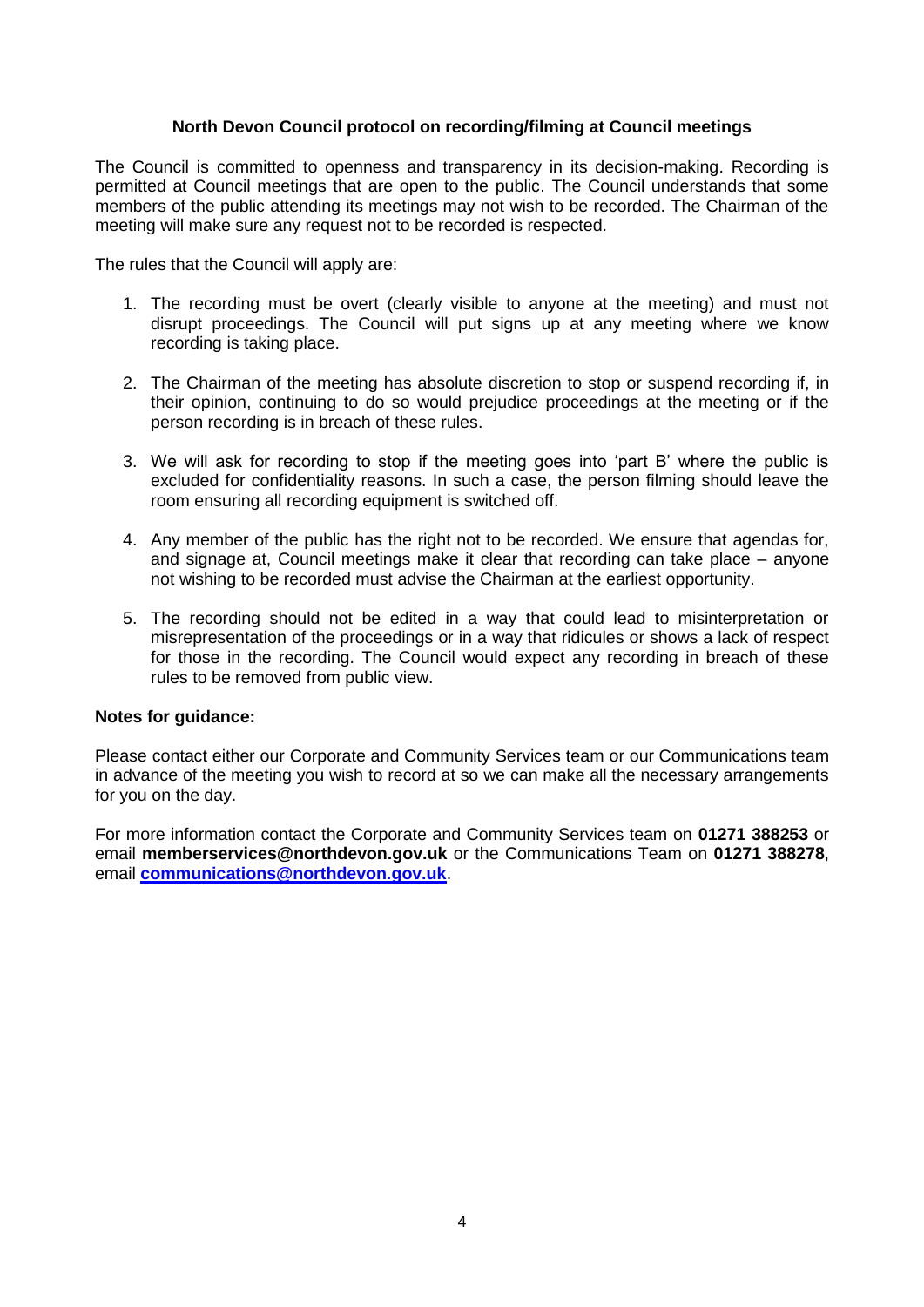### **North Devon Council protocol on recording/filming at Council meetings**

The Council is committed to openness and transparency in its decision-making. Recording is permitted at Council meetings that are open to the public. The Council understands that some members of the public attending its meetings may not wish to be recorded. The Chairman of the meeting will make sure any request not to be recorded is respected.

The rules that the Council will apply are:

- 1. The recording must be overt (clearly visible to anyone at the meeting) and must not disrupt proceedings. The Council will put signs up at any meeting where we know recording is taking place.
- 2. The Chairman of the meeting has absolute discretion to stop or suspend recording if, in their opinion, continuing to do so would prejudice proceedings at the meeting or if the person recording is in breach of these rules.
- 3. We will ask for recording to stop if the meeting goes into 'part B' where the public is excluded for confidentiality reasons. In such a case, the person filming should leave the room ensuring all recording equipment is switched off.
- 4. Any member of the public has the right not to be recorded. We ensure that agendas for, and signage at, Council meetings make it clear that recording can take place – anyone not wishing to be recorded must advise the Chairman at the earliest opportunity.
- 5. The recording should not be edited in a way that could lead to misinterpretation or misrepresentation of the proceedings or in a way that ridicules or shows a lack of respect for those in the recording. The Council would expect any recording in breach of these rules to be removed from public view.

#### **Notes for guidance:**

Please contact either our Corporate and Community Services team or our Communications team in advance of the meeting you wish to record at so we can make all the necessary arrangements for you on the day.

For more information contact the Corporate and Community Services team on **01271 388253** or email **memberservices@northdevon.gov.uk** or the Communications Team on **01271 388278**, email **[communications@northdevon.gov.uk](mailto:communications@northdevon.gov.uk)**.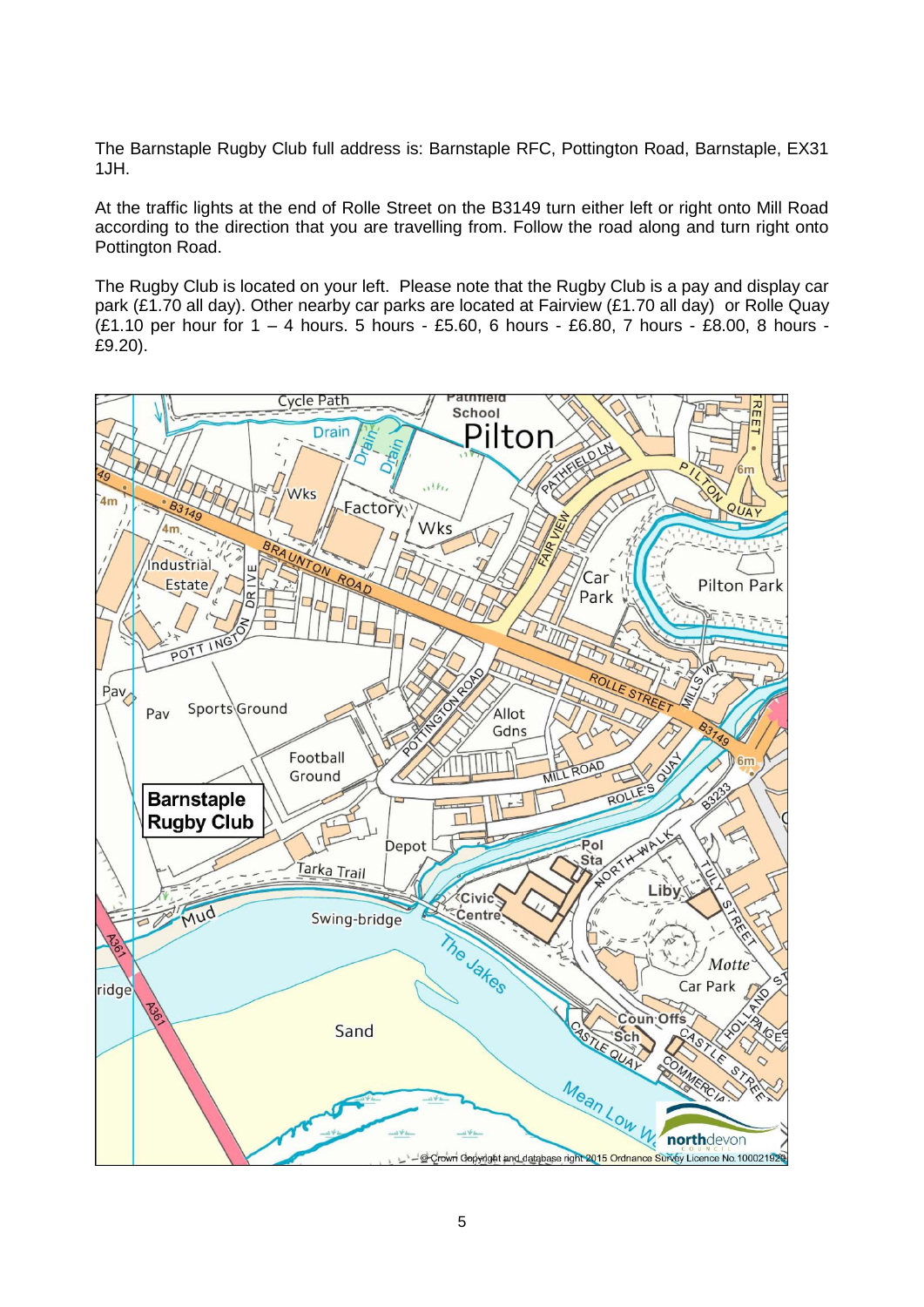The Barnstaple Rugby Club full address is: Barnstaple RFC, Pottington Road, Barnstaple, EX31 1JH.

At the traffic lights at the end of Rolle Street on the B3149 turn either left or right onto Mill Road according to the direction that you are travelling from. Follow the road along and turn right onto Pottington Road.

The Rugby Club is located on your left. Please note that the Rugby Club is a pay and display car park (£1.70 all day). Other nearby car parks are located at Fairview (£1.70 all day) or Rolle Quay (£1.10 per hour for 1 – 4 hours. 5 hours - £5.60, 6 hours - £6.80, 7 hours - £8.00, 8 hours - £9.20).

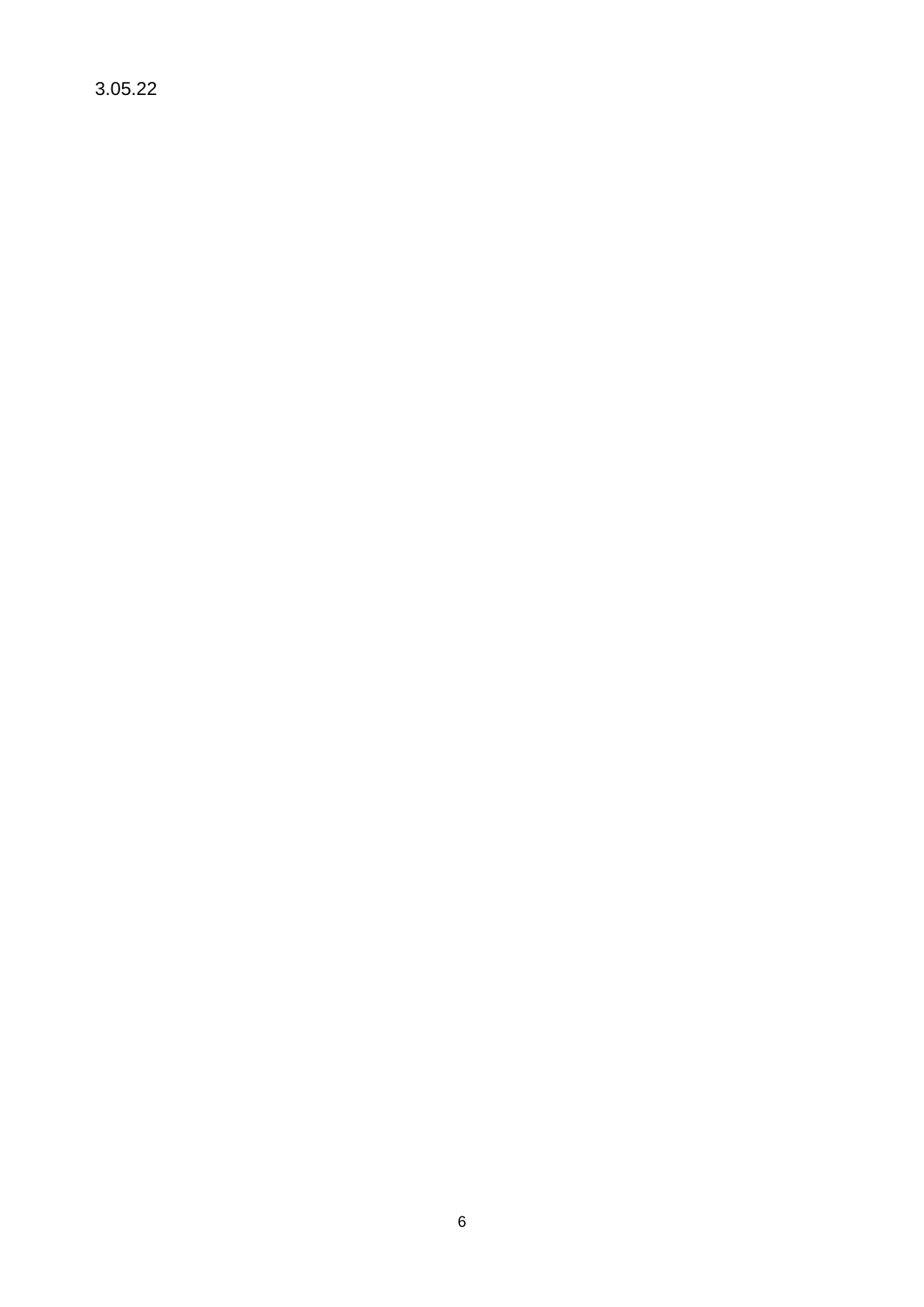3.05.22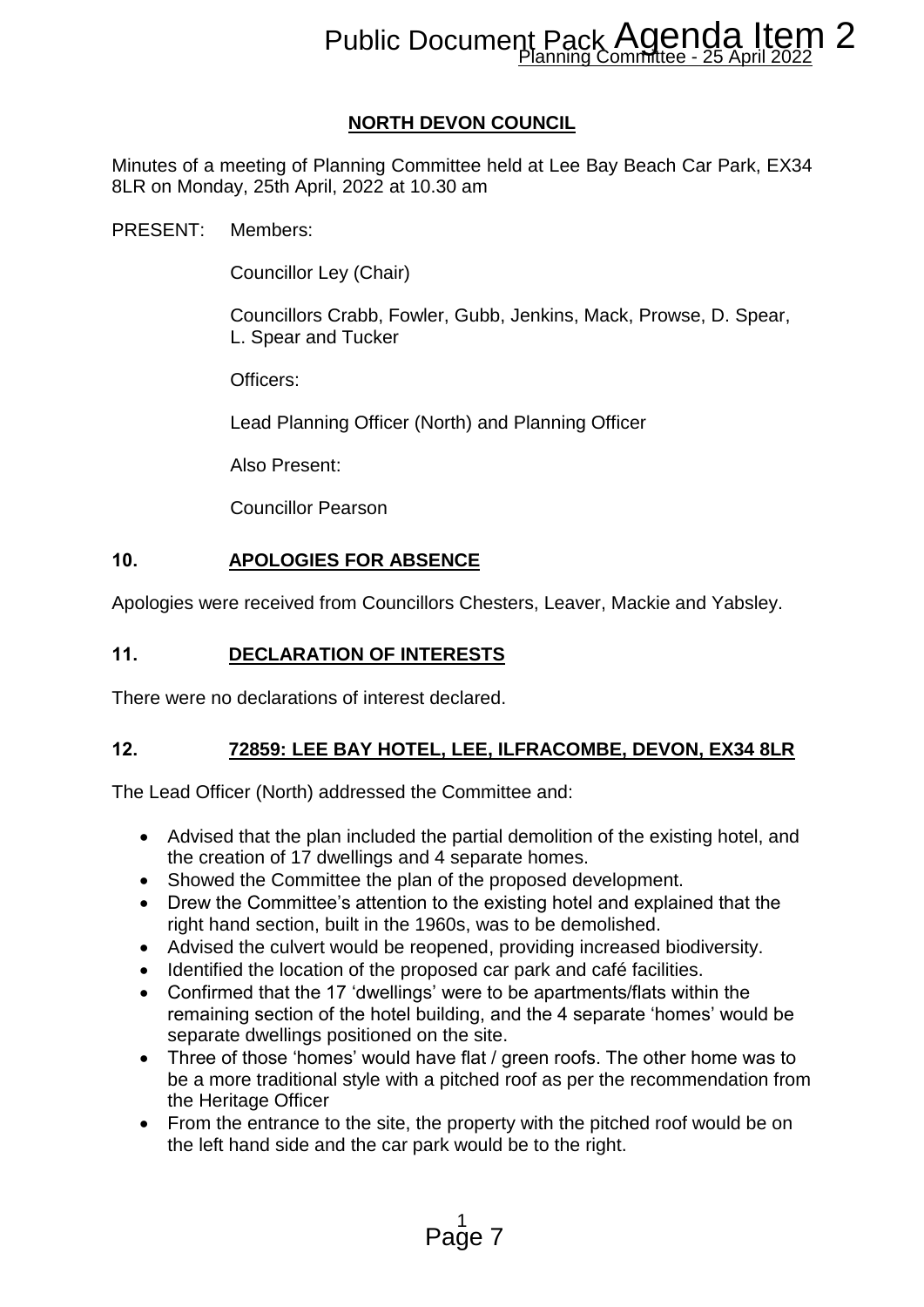# Public Document Pack AGENDA ITEN<br>Planning Committee - 25 April 2022

# **NORTH DEVON COUNCIL**

Minutes of a meeting of Planning Committee held at Lee Bay Beach Car Park, EX34 8LR on Monday, 25th April, 2022 at 10.30 am

PRESENT: Members:

Councillor Ley (Chair)

Councillors Crabb, Fowler, Gubb, Jenkins, Mack, Prowse, D. Spear, L. Spear and Tucker

Officers:

Lead Planning Officer (North) and Planning Officer

Also Present:

Councillor Pearson

## **10. APOLOGIES FOR ABSENCE**

Apologies were received from Councillors Chesters, Leaver, Mackie and Yabsley.

## **11. DECLARATION OF INTERESTS**

There were no declarations of interest declared.

## **12. 72859: LEE BAY HOTEL, LEE, ILFRACOMBE, DEVON, EX34 8LR**

The Lead Officer (North) addressed the Committee and:

- Advised that the plan included the partial demolition of the existing hotel, and the creation of 17 dwellings and 4 separate homes.
- Showed the Committee the plan of the proposed development.
- Drew the Committee's attention to the existing hotel and explained that the right hand section, built in the 1960s, was to be demolished.
- Advised the culvert would be reopened, providing increased biodiversity.
- Identified the location of the proposed car park and café facilities.
- Confirmed that the 17 'dwellings' were to be apartments/flats within the remaining section of the hotel building, and the 4 separate 'homes' would be separate dwellings positioned on the site.
- Three of those 'homes' would have flat / green roofs. The other home was to be a more traditional style with a pitched roof as per the recommendation from the Heritage Officer **Process Process Agenda Item 2**<br> **Process Process Agenda Item 22**<br> **PEVON COUNCIL**<br>
Imittee held at Lee Bay Beach Car Park, EX34<br>
1.300 am<br>
Ier, Gubb, Jenkins, Mack, Prowse, D. Spear,<br>
<br> **PEXENCE**<br>
Ier, Gubb, Jenkins, Mack
- From the entrance to the site, the property with the pitched roof would be on the left hand side and the car park would be to the right.